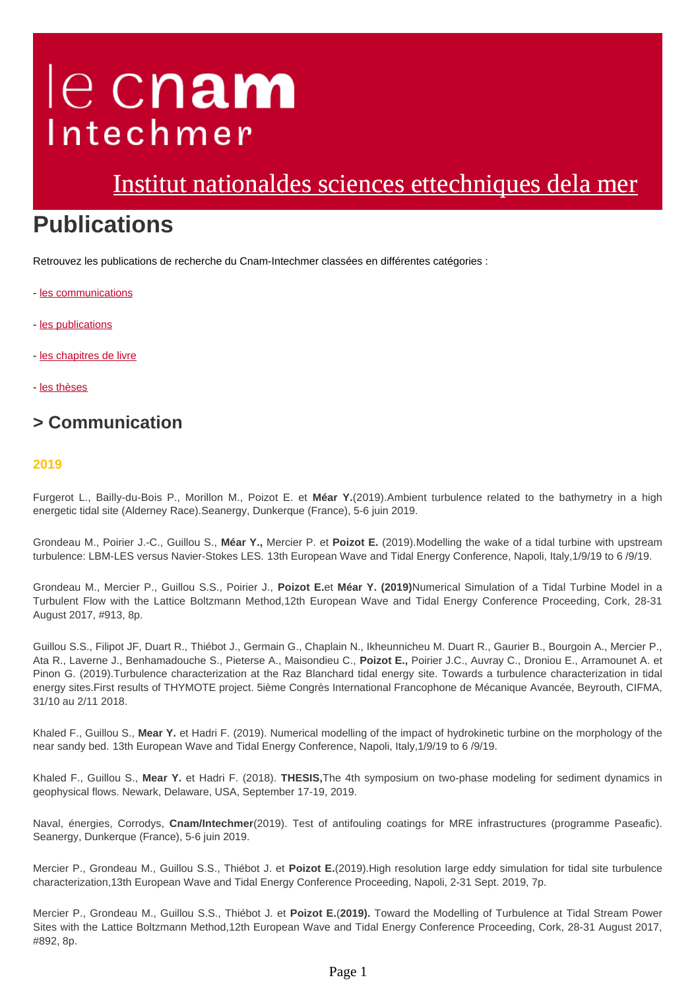# le cnam Intechmer

# [Institut nationaldes sciences ettechniques dela mer](https://www.intechmer.cnam.fr/)

# **Publications**

Retrouvez les publications de recherche du Cnam-Intechmer classées en différentes catégories :

- [les communications](#page-0-0)
- [les publications](#page-1-0)
- [les chapitres de livre](#page-2-0)
- [les thèses](#page-2-1)

# <span id="page-0-0"></span>**> Communication**

#### **2019**

Furgerot L., Bailly-du-Bois P., Morillon M., Poizot E. et **Méar Y.**(2019).Ambient turbulence related to the bathymetry in a high energetic tidal site (Alderney Race).Seanergy, Dunkerque (France), 5-6 juin 2019.

Grondeau M., Poirier J.-C., Guillou S., **Méar Y.,** Mercier P. et **Poizot E.** (2019).Modelling the wake of a tidal turbine with upstream turbulence: LBM-LES versus Navier-Stokes LES. 13th European Wave and Tidal Energy Conference, Napoli, Italy,1/9/19 to 6 /9/19.

Grondeau M., Mercier P., Guillou S.S., Poirier J., **Poizot E.**et **Méar Y. (2019)**Numerical Simulation of a Tidal Turbine Model in a Turbulent Flow with the Lattice Boltzmann Method,12th European Wave and Tidal Energy Conference Proceeding, Cork, 28-31 August 2017, #913, 8p.

Guillou S.S., Filipot JF, Duart R., Thiébot J., Germain G., Chaplain N., Ikheunnicheu M. Duart R., Gaurier B., Bourgoin A., Mercier P., Ata R., Laverne J., Benhamadouche S., Pieterse A., Maisondieu C., **Poizot E.,** Poirier J.C., Auvray C., Droniou E., Arramounet A. et Pinon G. (2019).Turbulence characterization at the Raz Blanchard tidal energy site. Towards a turbulence characterization in tidal energy sites.First results of THYMOTE project. 5ième Congrès International Francophone de Mécanique Avancée, Beyrouth, CIFMA, 31/10 au 2/11 2018.

Khaled F., Guillou S., **Mear Y.** et Hadri F. (2019). Numerical modelling of the impact of hydrokinetic turbine on the morphology of the near sandy bed. 13th European Wave and Tidal Energy Conference, Napoli, Italy,1/9/19 to 6 /9/19.

Khaled F., Guillou S., **Mear Y.** et Hadri F. (2018). **THESIS,**The 4th symposium on two-phase modeling for sediment dynamics in geophysical flows. Newark, Delaware, USA, September 17-19, 2019.

Naval, énergies, Corrodys, **Cnam/Intechmer**(2019). Test of antifouling coatings for MRE infrastructures (programme Paseafic). Seanergy, Dunkerque (France), 5-6 juin 2019.

Mercier P., Grondeau M., Guillou S.S., Thiébot J. et **Poizot E.**(2019).High resolution large eddy simulation for tidal site turbulence characterization,13th European Wave and Tidal Energy Conference Proceeding, Napoli, 2-31 Sept. 2019, 7p.

Mercier P., Grondeau M., Guillou S.S., Thiébot J. et **Poizot E.**(**2019).** Toward the Modelling of Turbulence at Tidal Stream Power Sites with the Lattice Boltzmann Method,12th European Wave and Tidal Energy Conference Proceeding, Cork, 28-31 August 2017, #892, 8p.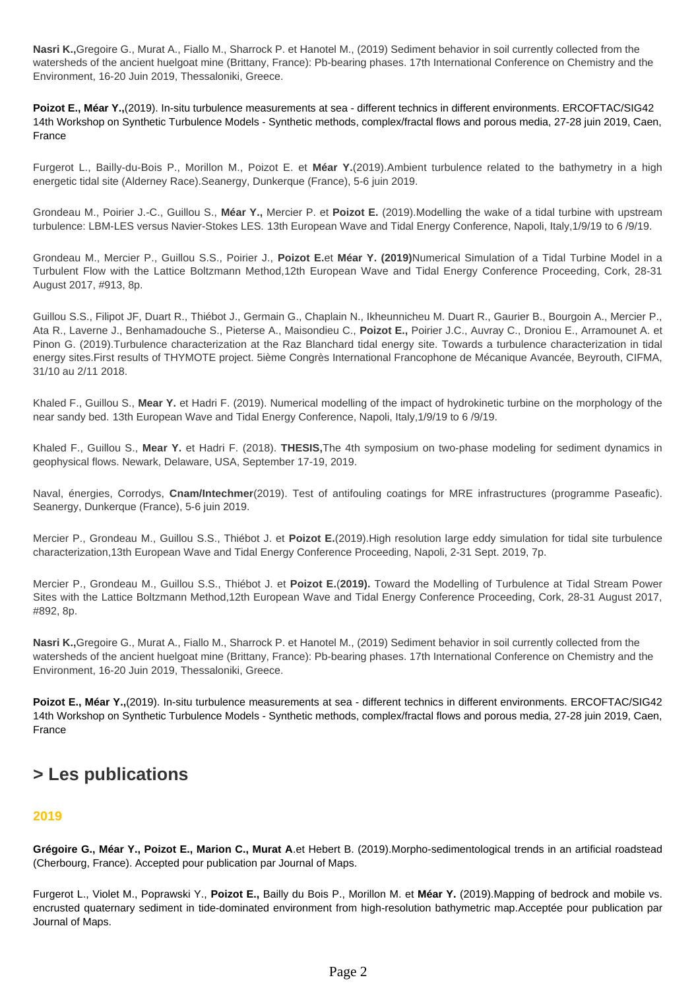**Nasri K.,**Gregoire G., Murat A., Fiallo M., Sharrock P. et Hanotel M., (2019) Sediment behavior in soil currently collected from the watersheds of the ancient huelgoat mine (Brittany, France): Pb-bearing phases. 17th International Conference on Chemistry and the Environment, 16-20 Juin 2019, Thessaloniki, Greece.

**Poizot E., Méar Y.,**(2019). In-situ turbulence measurements at sea - different technics in different environments. ERCOFTAC/SIG42 14th Workshop on Synthetic Turbulence Models - Synthetic methods, complex/fractal flows and porous media, 27-28 juin 2019, Caen, France

Furgerot L., Bailly-du-Bois P., Morillon M., Poizot E. et **Méar Y.**(2019).Ambient turbulence related to the bathymetry in a high energetic tidal site (Alderney Race).Seanergy, Dunkerque (France), 5-6 juin 2019.

Grondeau M., Poirier J.-C., Guillou S., **Méar Y.,** Mercier P. et **Poizot E.** (2019).Modelling the wake of a tidal turbine with upstream turbulence: LBM-LES versus Navier-Stokes LES. 13th European Wave and Tidal Energy Conference, Napoli, Italy,1/9/19 to 6 /9/19.

Grondeau M., Mercier P., Guillou S.S., Poirier J., **Poizot E.**et **Méar Y. (2019)**Numerical Simulation of a Tidal Turbine Model in a Turbulent Flow with the Lattice Boltzmann Method,12th European Wave and Tidal Energy Conference Proceeding, Cork, 28-31 August 2017, #913, 8p.

Guillou S.S., Filipot JF, Duart R., Thiébot J., Germain G., Chaplain N., Ikheunnicheu M. Duart R., Gaurier B., Bourgoin A., Mercier P., Ata R., Laverne J., Benhamadouche S., Pieterse A., Maisondieu C., **Poizot E.,** Poirier J.C., Auvray C., Droniou E., Arramounet A. et Pinon G. (2019).Turbulence characterization at the Raz Blanchard tidal energy site. Towards a turbulence characterization in tidal energy sites.First results of THYMOTE project. 5ième Congrès International Francophone de Mécanique Avancée, Beyrouth, CIFMA, 31/10 au 2/11 2018.

Khaled F., Guillou S., **Mear Y.** et Hadri F. (2019). Numerical modelling of the impact of hydrokinetic turbine on the morphology of the near sandy bed. 13th European Wave and Tidal Energy Conference, Napoli, Italy,1/9/19 to 6 /9/19.

Khaled F., Guillou S., **Mear Y.** et Hadri F. (2018). **THESIS,**The 4th symposium on two-phase modeling for sediment dynamics in geophysical flows. Newark, Delaware, USA, September 17-19, 2019.

Naval, énergies, Corrodys, **Cnam/Intechmer**(2019). Test of antifouling coatings for MRE infrastructures (programme Paseafic). Seanergy, Dunkerque (France), 5-6 juin 2019.

Mercier P., Grondeau M., Guillou S.S., Thiébot J. et **Poizot E.**(2019).High resolution large eddy simulation for tidal site turbulence characterization,13th European Wave and Tidal Energy Conference Proceeding, Napoli, 2-31 Sept. 2019, 7p.

Mercier P., Grondeau M., Guillou S.S., Thiébot J. et **Poizot E.**(**2019).** Toward the Modelling of Turbulence at Tidal Stream Power Sites with the Lattice Boltzmann Method,12th European Wave and Tidal Energy Conference Proceeding, Cork, 28-31 August 2017, #892, 8p.

**Nasri K.,**Gregoire G., Murat A., Fiallo M., Sharrock P. et Hanotel M., (2019) Sediment behavior in soil currently collected from the watersheds of the ancient huelgoat mine (Brittany, France): Pb-bearing phases. 17th International Conference on Chemistry and the Environment, 16-20 Juin 2019, Thessaloniki, Greece.

**Poizot E., Méar Y.,**(2019). In-situ turbulence measurements at sea - different technics in different environments. ERCOFTAC/SIG42 14th Workshop on Synthetic Turbulence Models - Synthetic methods, complex/fractal flows and porous media, 27-28 juin 2019, Caen, France

## <span id="page-1-0"></span>**> Les publications**

#### **2019**

**Grégoire G., Méar Y., Poizot E., Marion C., Murat A**.et Hebert B. (2019).Morpho-sedimentological trends in an artificial roadstead (Cherbourg, France). Accepted pour publication par Journal of Maps.

Furgerot L., Violet M., Poprawski Y., **Poizot E.,** Bailly du Bois P., Morillon M. et **Méar Y.** (2019).Mapping of bedrock and mobile vs. encrusted quaternary sediment in tide-dominated environment from high-resolution bathymetric map.Acceptée pour publication par Journal of Maps.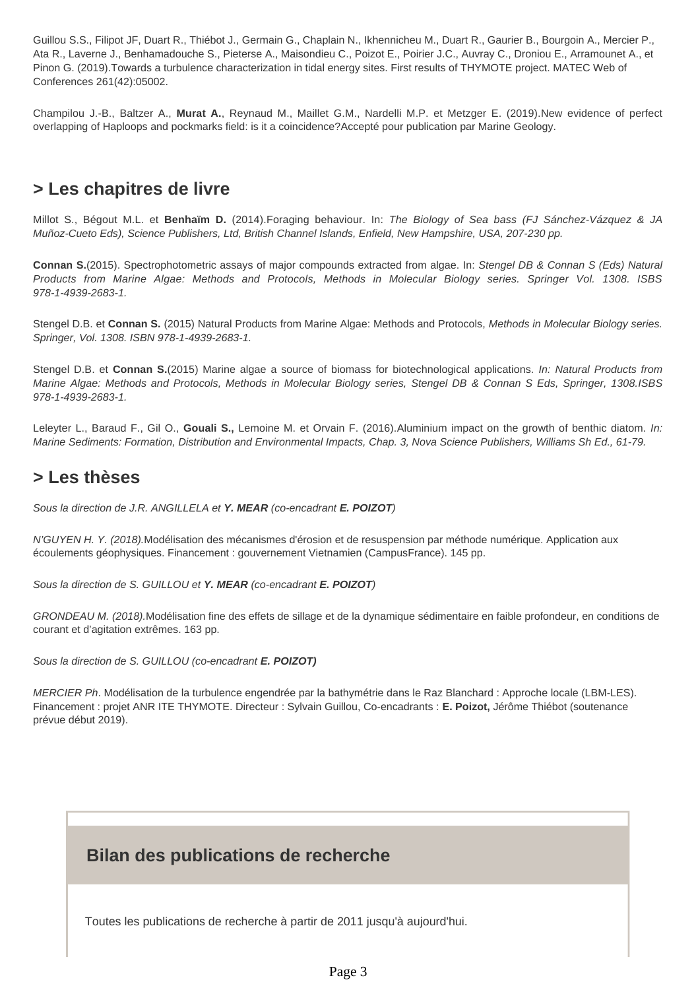Guillou S.S., Filipot JF, Duart R., Thiébot J., Germain G., Chaplain N., Ikhennicheu M., Duart R., Gaurier B., Bourgoin A., Mercier P., Ata R., Laverne J., Benhamadouche S., Pieterse A., Maisondieu C., Poizot E., Poirier J.C., Auvray C., Droniou E., Arramounet A., et Pinon G. (2019).Towards a turbulence characterization in tidal energy sites. First results of THYMOTE project. MATEC Web of Conferences 261(42):05002.

Champilou J.-B., Baltzer A., **Murat A.**, Reynaud M., Maillet G.M., Nardelli M.P. et Metzger E. (2019).New evidence of perfect overlapping of Haploops and pockmarks field: is it a coincidence?Accepté pour publication par Marine Geology.

# <span id="page-2-0"></span>**> Les chapitres de livre**

Millot S., Bégout M.L. et **Benhaïm D.** (2014).Foraging behaviour. In: The Biology of Sea bass (FJ Sánchez-Vázquez & JA Muñoz-Cueto Eds), Science Publishers, Ltd, British Channel Islands, Enfield, New Hampshire, USA, 207-230 pp.

**Connan S.**(2015). Spectrophotometric assays of major compounds extracted from algae. In: Stengel DB & Connan S (Eds) Natural Products from Marine Algae: Methods and Protocols, Methods in Molecular Biology series. Springer Vol. 1308. ISBS 978-1-4939-2683-1.

Stengel D.B. et **Connan S.** (2015) Natural Products from Marine Algae: Methods and Protocols, Methods in Molecular Biology series. Springer, Vol. 1308. ISBN 978-1-4939-2683-1.

Stengel D.B. et **Connan S.**(2015) Marine algae a source of biomass for biotechnological applications. In: Natural Products from Marine Algae: Methods and Protocols, Methods in Molecular Biology series, Stengel DB & Connan S Eds, Springer, 1308.ISBS 978-1-4939-2683-1.

Leleyter L., Baraud F., Gil O., **Gouali S.,** Lemoine M. et Orvain F. (2016).Aluminium impact on the growth of benthic diatom. In: Marine Sediments: Formation, Distribution and Environmental Impacts, Chap. 3, Nova Science Publishers, Williams Sh Ed., 61-79.

### <span id="page-2-1"></span>**> Les thèses**

Sous la direction de J.R. ANGILLELA et **Y. MEAR** (co-encadrant **E. POIZOT**)

N'GUYEN H. Y. (2018).Modélisation des mécanismes d'érosion et de resuspension par méthode numérique. Application aux écoulements géophysiques. Financement : gouvernement Vietnamien (CampusFrance). 145 pp.

Sous la direction de S. GUILLOU et **Y. MEAR** (co-encadrant **E. POIZOT**)

GRONDEAU M. (2018).Modélisation fine des effets de sillage et de la dynamique sédimentaire en faible profondeur, en conditions de courant et d'agitation extrêmes. 163 pp.

Sous la direction de S. GUILLOU (co-encadrant **E. POIZOT)**

MERCIER Ph. Modélisation de la turbulence engendrée par la bathymétrie dans le Raz Blanchard : Approche locale (LBM-LES). Financement : projet ANR ITE THYMOTE. Directeur : Sylvain Guillou, Co-encadrants : **E. Poizot,** Jérôme Thiébot (soutenance prévue début 2019).

## **Bilan des publications de recherche**

Toutes les publications de recherche à partir de 2011 jusqu'à aujourd'hui.